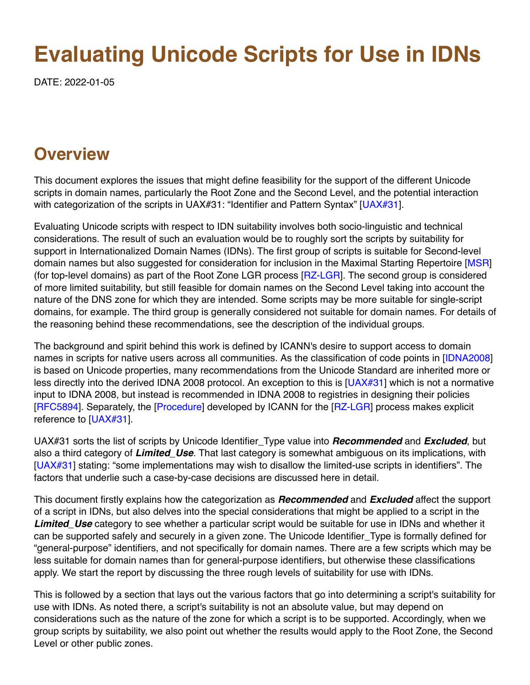# **Evaluating Unicode Scripts for Use in IDNs**

DATE: 2022-01-05

## **Overview**

This document explores the issues that might define feasibility for the support of the different Unicode scripts in domain names, particularly the Root Zone and the Second Level, and the potential interaction with categorization of the scripts in UAX#31: "Identifier and Pattern Syntax" [[UAX#31\]](#page-9-0).

Evaluating Unicode scripts with respect to IDN suitability involves both socio-linguistic and technical considerations. The result of such an evaluation would be to roughly sort the scripts by suitability for support in Internationalized Domain Names (IDNs). The first group of scripts is suitable for Second-level domain names but also suggested for consideration for inclusion in the Maximal Starting Repertoire [[MSR](#page-8-0)] (for top-level domains) as part of the Root Zone LGR process [[RZ-LGR](#page-9-1)]. The second group is considered of more limited suitability, but still feasible for domain names on the Second Level taking into account the nature of the DNS zone for which they are intended. Some scripts may be more suitable for single-script domains, for example. The third group is generally considered not suitable for domain names. For details of the reasoning behind these recommendations, see the description of the individual groups.

The background and spirit behind this work is defined by ICANN's desire to support access to domain names in scripts for native users across all communities. As the classification of code points in [[IDNA2008\]](#page-8-1) is based on Unicode properties, many recommendations from the Unicode Standard are inherited more or less directly into the derived IDNA 2008 protocol. An exception to this is  $[UAX#31]$  $[UAX#31]$  which is not a normative input to IDNA 2008, but instead is recommended in IDNA 2008 to registries in designing their policies [\[RFC5894\]](#page-9-2). Separately, the [[Procedure](#page-8-2)] developed by ICANN for the [[RZ-LGR\]](#page-9-1) process makes explicit reference to [\[UAX#31\]](#page-9-0).

UAX#31 sorts the list of scripts by Unicode Identifier\_Type value into *Recommended* and *Excluded*, but also a third category of *Limited\_Use*. That last category is somewhat ambiguous on its implications, with [\[UAX#31](#page-9-0)] stating: "some implementations may wish to disallow the limited-use scripts in identifiers". The factors that underlie such a case-by-case decisions are discussed here in detail.

This document firstly explains how the categorization as *Recommended* and *Excluded* affect the support of a script in IDNs, but also delves into the special considerations that might be applied to a script in the **Limited Use** category to see whether a particular script would be suitable for use in IDNs and whether it can be supported safely and securely in a given zone. The Unicode Identifier\_Type is formally defined for "general-purpose" identifiers, and not specifically for domain names. There are a few scripts which may be less suitable for domain names than for general-purpose identifiers, but otherwise these classifications apply. We start the report by discussing the three rough levels of suitability for use with IDNs.

This is followed by a section that lays out the various factors that go into determining a script's suitability for use with IDNs. As noted there, a script's suitability is not an absolute value, but may depend on considerations such as the nature of the zone for which a script is to be supported. Accordingly, when we group scripts by suitability, we also point out whether the results would apply to the Root Zone, the Second Level or other public zones.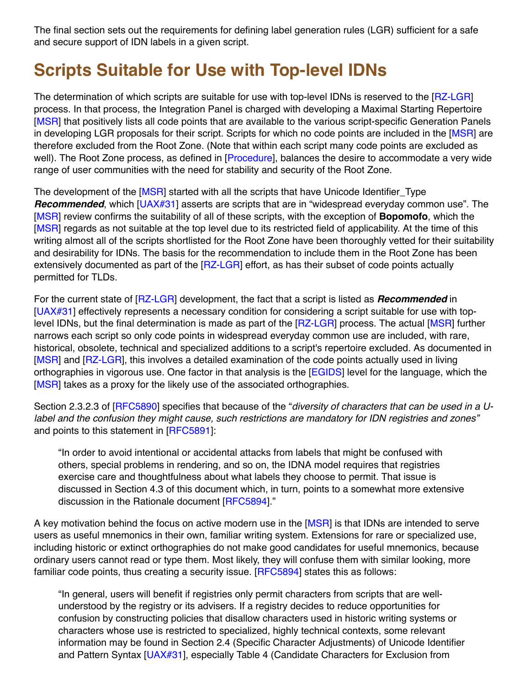The final section sets out the requirements for defining label generation rules (LGR) sufficient for a safe and secure support of IDN labels in a given script.

## **Scripts Suitable for Use with Top-level IDNs**

The determination of which scripts are suitable for use with top-level IDNs is reserved to the [[RZ-LGR\]](#page-9-1) process. In that process, the Integration Panel is charged with developing a Maximal Starting Repertoire [\[MSR](#page-8-0)] that positively lists all code points that are available to the various script-specific Generation Panels in developing LGR proposals for their script. Scripts for which no code points are included in the [[MSR](#page-8-0)] are therefore excluded from the Root Zone. (Note that within each script many code points are excluded as well). The Root Zone process, as defined in [\[Procedure\]](#page-8-2), balances the desire to accommodate a very wide range of user communities with the need for stability and security of the Root Zone.

The development of the [[MSR\]](#page-8-0) started with all the scripts that have Unicode Identifier\_Type *Recommended*, which [\[UAX#31](#page-9-0)] asserts are scripts that are in "widespread everyday common use". The [\[MSR](#page-8-0)] review confirms the suitability of all of these scripts, with the exception of **Bopomofo**, which the [\[MSR](#page-8-0)] regards as not suitable at the top level due to its restricted field of applicability. At the time of this writing almost all of the scripts shortlisted for the Root Zone have been thoroughly vetted for their suitability and desirability for IDNs. The basis for the recommendation to include them in the Root Zone has been extensively documented as part of the [\[RZ-LGR](#page-9-1)] effort, as has their subset of code points actually permitted for TLDs.

For the current state of [[RZ-LGR](#page-9-1)] development, the fact that a script is listed as *Recommended* in [\[UAX#31](#page-9-0)] effectively represents a necessary condition for considering a script suitable for use with top-level IDNs, but the final determination is made as part of the [[RZ-LGR](#page-9-1)] process. The actual [[MSR](#page-8-0)] further narrows each script so only code points in widespread everyday common use are included, with rare, historical, obsolete, technical and specialized additions to a script's repertoire excluded. As documented in [\[MSR](#page-8-0)] and [\[RZ-LGR\]](#page-9-1), this involves a detailed examination of the code points actually used in living orthographies in vigorous use. One factor in that analysis is the [[EGIDS\]](#page-8-3) level for the language, which the [\[MSR](#page-8-0)] takes as a proxy for the likely use of the associated orthographies.

Section 2.3.2.3 of [\[RFC5890\]](#page-8-4) specifies that because of the "*diversity of characters that can be used in a Ulabel and the confusion they might cause, such restrictions are mandatory for IDN registries and zones"* and points to this statement in [\[RFC5891](#page-8-5)]:

"In order to avoid intentional or accidental attacks from labels that might be confused with others, special problems in rendering, and so on, the IDNA model requires that registries exercise care and thoughtfulness about what labels they choose to permit. That issue is discussed in Section 4.3 of this document which, in turn, points to a somewhat more extensive discussion in the Rationale document [\[RFC5894](#page-9-2)]."

A key motivation behind the focus on active modern use in the [\[MSR\]](#page-8-0) is that IDNs are intended to serve users as useful mnemonics in their own, familiar writing system. Extensions for rare or specialized use, including historic or extinct orthographies do not make good candidates for useful mnemonics, because ordinary users cannot read or type them. Most likely, they will confuse them with similar looking, more familiar code points, thus creating a security issue. [\[RFC5894\]](#page-9-2) states this as follows:

"In general, users will benefit if registries only permit characters from scripts that are wellunderstood by the registry or its advisers. If a registry decides to reduce opportunities for confusion by constructing policies that disallow characters used in historic writing systems or characters whose use is restricted to specialized, highly technical contexts, some relevant information may be found in Section 2.4 (Specific Character Adjustments) of Unicode Identifier and Pattern Syntax [[UAX#31\]](#page-9-0), especially Table 4 (Candidate Characters for Exclusion from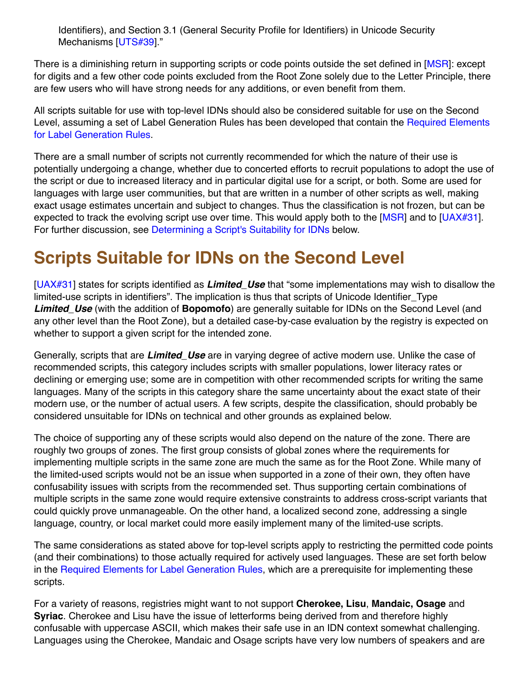Identifiers), and Section 3.1 (General Security Profile for Identifiers) in Unicode Security Mechanisms [[UTS#39](#page-9-3)]."

There is a diminishing return in supporting scripts or code points outside the set defined in [[MSR](#page-8-0)]: except for digits and a few other code points excluded from the Root Zone solely due to the Letter Principle, there are few users who will have strong needs for any additions, or even benefit from them.

All scripts suitable for use with top-level IDNs should also be considered suitable for use on the Second [Level, assuming a set of Label Generation Rules has been developed that contain the Required Elements](#page-5-0) for Label Generation Rules.

There are a small number of scripts not currently recommended for which the nature of their use is potentially undergoing a change, whether due to concerted efforts to recruit populations to adopt the use of the script or due to increased literacy and in particular digital use for a script, or both. Some are used for languages with large user communities, but that are written in a number of other scripts as well, making exact usage estimates uncertain and subject to changes. Thus the classification is not frozen, but can be expected to track the evolving script use over time. This would apply both to the  $[MSR]$  $[MSR]$  and to  $[UAX#31]$  $[UAX#31]$ . For further discussion, see Determining a Script's Suitability for IDNs below.

# **Scripts Suitable for IDNs on the Second Level**

[\[UAX#31](#page-9-0)] states for scripts identified as *Limited\_Use* that "some implementations may wish to disallow the limited-use scripts in identifiers". The implication is thus that scripts of Unicode Identifier\_Type *Limited\_Use* (with the addition of **Bopomofo**) are generally suitable for IDNs on the Second Level (and any other level than the Root Zone), but a detailed case-by-case evaluation by the registry is expected on whether to support a given script for the intended zone.

Generally, scripts that are *Limited\_Use* are in varying degree of active modern use. Unlike the case of recommended scripts, this category includes scripts with smaller populations, lower literacy rates or declining or emerging use; some are in competition with other recommended scripts for writing the same languages. Many of the scripts in this category share the same uncertainty about the exact state of their modern use, or the number of actual users. A few scripts, despite the classification, should probably be considered unsuitable for IDNs on technical and other grounds as explained below.

The choice of supporting any of these scripts would also depend on the nature of the zone. There are roughly two groups of zones. The first group consists of global zones where the requirements for implementing multiple scripts in the same zone are much the same as for the Root Zone. While many of the limited-used scripts would not be an issue when supported in a zone of their own, they often have confusability issues with scripts from the recommended set. Thus supporting certain combinations of multiple scripts in the same zone would require extensive constraints to address cross-script variants that could quickly prove unmanageable. On the other hand, a localized second zone, addressing a single language, country, or local market could more easily implement many of the limited-use scripts.

The same considerations as stated above for top-level scripts apply to restricting the permitted code points (and their combinations) to those actually required for actively used languages. These are set forth below in the [Required Elements for Label Generation Rules](#page-5-0), which are a prerequisite for implementing these scripts.

For a variety of reasons, registries might want to not support **Cherokee, Lisu**, **Mandaic, Osage** and **Syriac**. Cherokee and Lisu have the issue of letterforms being derived from and therefore highly confusable with uppercase ASCII, which makes their safe use in an IDN context somewhat challenging. Languages using the Cherokee, Mandaic and Osage scripts have very low numbers of speakers and are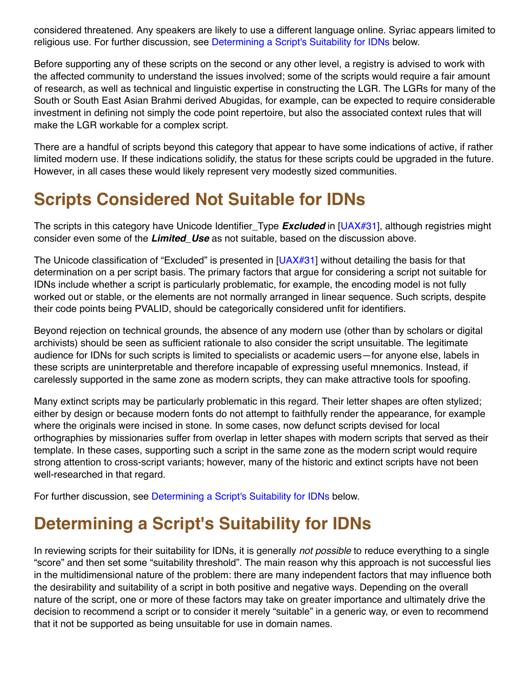considered threatened. Any speakers are likely to use a different language online. Syriac appears limited to religious use. For further discussion, see Determining a Script's Suitability for IDNs below.

Before supporting any of these scripts on the second or any other level, a registry is advised to work with the affected community to understand the issues involved; some of the scripts would require a fair amount of research, as well as technical and linguistic expertise in constructing the LGR. The LGRs for many of the South or South East Asian Brahmi derived Abugidas, for example, can be expected to require considerable investment in defining not simply the code point repertoire, but also the associated context rules that will make the LGR workable for a complex script.

There are a handful of scripts beyond this category that appear to have some indications of active, if rather limited modern use. If these indications solidify, the status for these scripts could be upgraded in the future. However, in all cases these would likely represent very modestly sized communities.

# **Scripts Considered Not Suitable for IDNs**

The scripts in this category have Unicode Identifier\_Type *Excluded* in [\[UAX#31\]](#page-9-0), although registries might consider even some of the *Limited\_Use* as not suitable, based on the discussion above.

The Unicode classification of "Excluded" is presented in [\[UAX#31\]](#page-9-0) without detailing the basis for that determination on a per script basis. The primary factors that argue for considering a script not suitable for IDNs include whether a script is particularly problematic, for example, the encoding model is not fully worked out or stable, or the elements are not normally arranged in linear sequence. Such scripts, despite their code points being PVALID, should be categorically considered unfit for identifiers.

Beyond rejection on technical grounds, the absence of any modern use (other than by scholars or digital archivists) should be seen as sufficient rationale to also consider the script unsuitable. The legitimate audience for IDNs for such scripts is limited to specialists or academic users—for anyone else, labels in these scripts are uninterpretable and therefore incapable of expressing useful mnemonics. Instead, if carelessly supported in the same zone as modern scripts, they can make attractive tools for spoofing.

Many extinct scripts may be particularly problematic in this regard. Their letter shapes are often stylized; either by design or because modern fonts do not attempt to faithfully render the appearance, for example where the originals were incised in stone. In some cases, now defunct scripts devised for local orthographies by missionaries suffer from overlap in letter shapes with modern scripts that served as their template. In these cases, supporting such a script in the same zone as the modern script would require strong attention to cross-script variants; however, many of the historic and extinct scripts have not been well-researched in that regard.

For further discussion, see Determining a Script's Suitability for IDNs below.

# **Determining a Script's Suitability for IDNs**

In reviewing scripts for their suitability for IDNs, it is generally *not possible* to reduce everything to a single "score" and then set some "suitability threshold". The main reason why this approach is not successful lies in the multidimensional nature of the problem: there are many independent factors that may influence both the desirability and suitability of a script in both positive and negative ways. Depending on the overall nature of the script, one or more of these factors may take on greater importance and ultimately drive the decision to recommend a script or to consider it merely "suitable" in a generic way, or even to recommend that it not be supported as being unsuitable for use in domain names.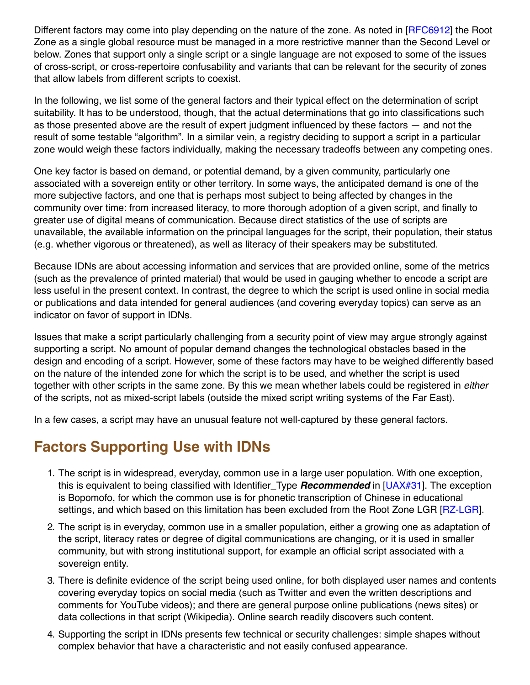Different factors may come into play depending on the nature of the zone. As noted in [[RFC6912](#page-9-4)] the Root Zone as a single global resource must be managed in a more restrictive manner than the Second Level or below. Zones that support only a single script or a single language are not exposed to some of the issues of cross-script, or cross-repertoire confusability and variants that can be relevant for the security of zones that allow labels from different scripts to coexist.

In the following, we list some of the general factors and their typical effect on the determination of script suitability. It has to be understood, though, that the actual determinations that go into classifications such as those presented above are the result of expert judgment influenced by these factors — and not the result of some testable "algorithm". In a similar vein, a registry deciding to support a script in a particular zone would weigh these factors individually, making the necessary tradeoffs between any competing ones.

One key factor is based on demand, or potential demand, by a given community, particularly one associated with a sovereign entity or other territory. In some ways, the anticipated demand is one of the more subjective factors, and one that is perhaps most subject to being affected by changes in the community over time: from increased literacy, to more thorough adoption of a given script, and finally to greater use of digital means of communication. Because direct statistics of the use of scripts are unavailable, the available information on the principal languages for the script, their population, their status (e.g. whether vigorous or threatened), as well as literacy of their speakers may be substituted.

Because IDNs are about accessing information and services that are provided online, some of the metrics (such as the prevalence of printed material) that would be used in gauging whether to encode a script are less useful in the present context. In contrast, the degree to which the script is used online in social media or publications and data intended for general audiences (and covering everyday topics) can serve as an indicator on favor of support in IDNs.

Issues that make a script particularly challenging from a security point of view may argue strongly against supporting a script. No amount of popular demand changes the technological obstacles based in the design and encoding of a script. However, some of these factors may have to be weighed differently based on the nature of the intended zone for which the script is to be used, and whether the script is used together with other scripts in the same zone. By this we mean whether labels could be registered in *either* of the scripts, not as mixed-script labels (outside the mixed script writing systems of the Far East).

In a few cases, a script may have an unusual feature not well-captured by these general factors.

#### **Factors Supporting Use with IDNs**

- 1. The script is in widespread, everyday, common use in a large user population. With one exception, this is equivalent to being classified with Identifier\_Type *Recommended* in [[UAX#31\]](#page-9-0). The exception is Bopomofo, for which the common use is for phonetic transcription of Chinese in educational settings, and which based on this limitation has been excluded from the Root Zone LGR [[RZ-LGR](#page-9-1)].
- 2. The script is in everyday, common use in a smaller population, either a growing one as adaptation of the script, literacy rates or degree of digital communications are changing, or it is used in smaller community, but with strong institutional support, for example an official script associated with a sovereign entity.
- 3. There is definite evidence of the script being used online, for both displayed user names and contents covering everyday topics on social media (such as Twitter and even the written descriptions and comments for YouTube videos); and there are general purpose online publications (news sites) or data collections in that script (Wikipedia). Online search readily discovers such content.
- 4. Supporting the script in IDNs presents few technical or security challenges: simple shapes without complex behavior that have a characteristic and not easily confused appearance.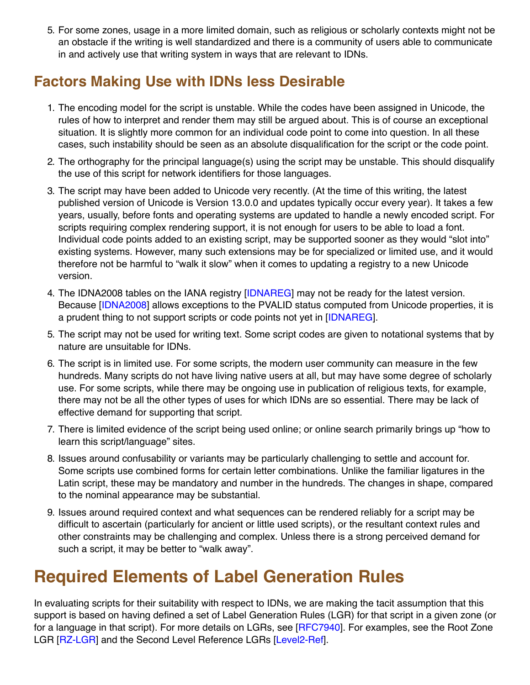5. For some zones, usage in a more limited domain, such as religious or scholarly contexts might not be an obstacle if the writing is well standardized and there is a community of users able to communicate in and actively use that writing system in ways that are relevant to IDNs.

## **Factors Making Use with IDNs less Desirable**

- 1. The encoding model for the script is unstable. While the codes have been assigned in Unicode, the rules of how to interpret and render them may still be argued about. This is of course an exceptional situation. It is slightly more common for an individual code point to come into question. In all these cases, such instability should be seen as an absolute disqualification for the script or the code point.
- 2. The orthography for the principal language(s) using the script may be unstable. This should disqualify the use of this script for network identifiers for those languages.
- 3. The script may have been added to Unicode very recently. (At the time of this writing, the latest published version of Unicode is Version 13.0.0 and updates typically occur every year). It takes a few years, usually, before fonts and operating systems are updated to handle a newly encoded script. For scripts requiring complex rendering support, it is not enough for users to be able to load a font. Individual code points added to an existing script, may be supported sooner as they would "slot into" existing systems. However, many such extensions may be for specialized or limited use, and it would therefore not be harmful to "walk it slow" when it comes to updating a registry to a new Unicode version.
- 4. The IDNA2008 tables on the IANA registry [\[IDNAREG](#page-8-6)] may not be ready for the latest version. Because [\[IDNA2008\]](#page-8-1) allows exceptions to the PVALID status computed from Unicode properties, it is a prudent thing to not support scripts or code points not yet in [\[IDNAREG\]](#page-8-6).
- 5. The script may not be used for writing text. Some script codes are given to notational systems that by nature are unsuitable for IDNs.
- 6. The script is in limited use. For some scripts, the modern user community can measure in the few hundreds. Many scripts do not have living native users at all, but may have some degree of scholarly use. For some scripts, while there may be ongoing use in publication of religious texts, for example, there may not be all the other types of uses for which IDNs are so essential. There may be lack of effective demand for supporting that script.
- 7. There is limited evidence of the script being used online; or online search primarily brings up "how to learn this script/language" sites.
- 8. Issues around confusability or variants may be particularly challenging to settle and account for. Some scripts use combined forms for certain letter combinations. Unlike the familiar ligatures in the Latin script, these may be mandatory and number in the hundreds. The changes in shape, compared to the nominal appearance may be substantial.
- 9. Issues around required context and what sequences can be rendered reliably for a script may be difficult to ascertain (particularly for ancient or little used scripts), or the resultant context rules and other constraints may be challenging and complex. Unless there is a strong perceived demand for such a script, it may be better to "walk away".

## <span id="page-5-0"></span>**Required Elements of Label Generation Rules**

In evaluating scripts for their suitability with respect to IDNs, we are making the tacit assumption that this support is based on having defined a set of Label Generation Rules (LGR) for that script in a given zone (or for a language in that script). For more details on LGRs, see [[RFC7940](#page-9-5)]. For examples, see the Root Zone LGR [[RZ-LGR](#page-9-1)] and the Second Level Reference LGRs [[Level2-Ref\]](#page-8-7).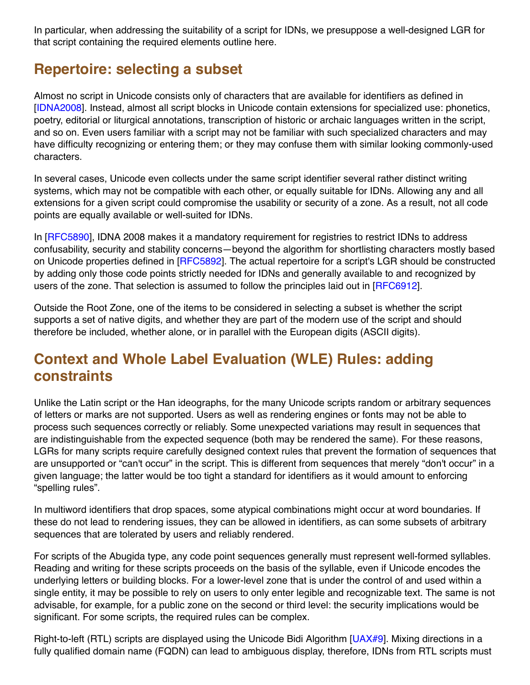In particular, when addressing the suitability of a script for IDNs, we presuppose a well-designed LGR for that script containing the required elements outline here.

#### **Repertoire: selecting a subset**

Almost no script in Unicode consists only of characters that are available for identifiers as defined in [\[IDNA2008](#page-8-1)]. Instead, almost all script blocks in Unicode contain extensions for specialized use: phonetics, poetry, editorial or liturgical annotations, transcription of historic or archaic languages written in the script, and so on. Even users familiar with a script may not be familiar with such specialized characters and may have difficulty recognizing or entering them; or they may confuse them with similar looking commonly-used characters.

In several cases, Unicode even collects under the same script identifier several rather distinct writing systems, which may not be compatible with each other, or equally suitable for IDNs. Allowing any and all extensions for a given script could compromise the usability or security of a zone. As a result, not all code points are equally available or well-suited for IDNs.

In [[RFC5890](#page-8-4)], IDNA 2008 makes it a mandatory requirement for registries to restrict IDNs to address confusability, security and stability concerns—beyond the algorithm for shortlisting characters mostly based on Unicode properties defined in [[RFC5892\]](#page-9-6). The actual repertoire for a script's LGR should be constructed by adding only those code points strictly needed for IDNs and generally available to and recognized by users of the zone. That selection is assumed to follow the principles laid out in [[RFC6912](#page-9-4)].

Outside the Root Zone, one of the items to be considered in selecting a subset is whether the script supports a set of native digits, and whether they are part of the modern use of the script and should therefore be included, whether alone, or in parallel with the European digits (ASCII digits).

## **Context and Whole Label Evaluation (WLE) Rules: adding constraints**

Unlike the Latin script or the Han ideographs, for the many Unicode scripts random or arbitrary sequences of letters or marks are not supported. Users as well as rendering engines or fonts may not be able to process such sequences correctly or reliably. Some unexpected variations may result in sequences that are indistinguishable from the expected sequence (both may be rendered the same). For these reasons, LGRs for many scripts require carefully designed context rules that prevent the formation of sequences that are unsupported or "can't occur" in the script. This is different from sequences that merely "don't occur" in a given language; the latter would be too tight a standard for identifiers as it would amount to enforcing "spelling rules".

In multiword identifiers that drop spaces, some atypical combinations might occur at word boundaries. If these do not lead to rendering issues, they can be allowed in identifiers, as can some subsets of arbitrary sequences that are tolerated by users and reliably rendered.

For scripts of the Abugida type, any code point sequences generally must represent well-formed syllables. Reading and writing for these scripts proceeds on the basis of the syllable, even if Unicode encodes the underlying letters or building blocks. For a lower-level zone that is under the control of and used within a single entity, it may be possible to rely on users to only enter legible and recognizable text. The same is not advisable, for example, for a public zone on the second or third level: the security implications would be significant. For some scripts, the required rules can be complex.

Right-to-left (RTL) scripts are displayed using the Unicode Bidi Algorithm [[UAX#9\]](#page-9-7). Mixing directions in a fully qualified domain name (FQDN) can lead to ambiguous display, therefore, IDNs from RTL scripts must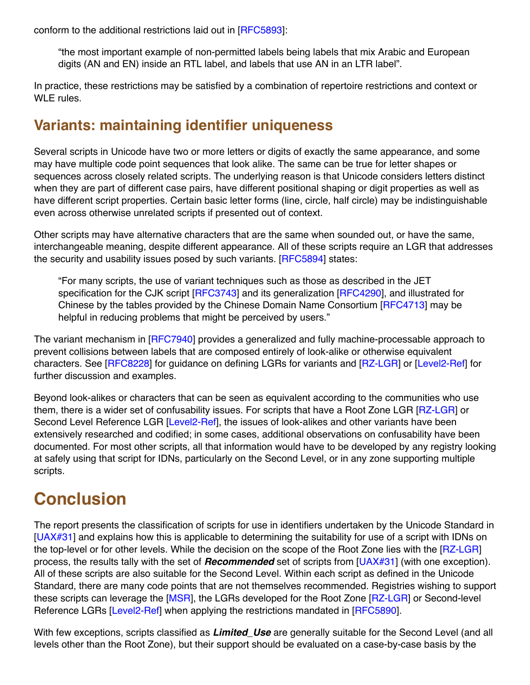conform to the additional restrictions laid out in [[RFC5893](#page-9-8)]:

"the most important example of non-permitted labels being labels that mix Arabic and European digits (AN and EN) inside an RTL label, and labels that use AN in an LTR label".

In practice, these restrictions may be satisfied by a combination of repertoire restrictions and context or WLE rules.

#### **Variants: maintaining identifier uniqueness**

Several scripts in Unicode have two or more letters or digits of exactly the same appearance, and some may have multiple code point sequences that look alike. The same can be true for letter shapes or sequences across closely related scripts. The underlying reason is that Unicode considers letters distinct when they are part of different case pairs, have different positional shaping or digit properties as well as have different script properties. Certain basic letter forms (line, circle, half circle) may be indistinguishable even across otherwise unrelated scripts if presented out of context.

Other scripts may have alternative characters that are the same when sounded out, or have the same, interchangeable meaning, despite different appearance. All of these scripts require an LGR that addresses the security and usability issues posed by such variants. [\[RFC5894\]](#page-9-2) states:

"For many scripts, the use of variant techniques such as those as described in the JET specification for the CJK script [\[RFC3743\]](#page-8-8) and its generalization [[RFC4290\]](#page-8-9), and illustrated for Chinese by the tables provided by the Chinese Domain Name Consortium [[RFC4713\]](#page-8-10) may be helpful in reducing problems that might be perceived by users."

The variant mechanism in [\[RFC7940\]](#page-9-5) provides a generalized and fully machine-processable approach to prevent collisions between labels that are composed entirely of look-alike or otherwise equivalent characters. See [\[RFC8228](#page-9-9)] for guidance on defining LGRs for variants and [[RZ-LGR](#page-9-1)] or [[Level2-Ref](#page-8-7)] for further discussion and examples.

Beyond look-alikes or characters that can be seen as equivalent according to the communities who use them, there is a wider set of confusability issues. For scripts that have a Root Zone LGR [[RZ-LGR\]](#page-9-1) or Second Level Reference LGR [\[Level2-Ref\]](#page-8-7), the issues of look-alikes and other variants have been extensively researched and codified; in some cases, additional observations on confusability have been documented. For most other scripts, all that information would have to be developed by any registry looking at safely using that script for IDNs, particularly on the Second Level, or in any zone supporting multiple scripts.

# **Conclusion**

The report presents the classification of scripts for use in identifiers undertaken by the Unicode Standard in [\[UAX#31](#page-9-0)] and explains how this is applicable to determining the suitability for use of a script with IDNs on the top-level or for other levels. While the decision on the scope of the Root Zone lies with the [[RZ-LGR](#page-9-1)] process, the results tally with the set of *Recommended* set of scripts from [[UAX#31\]](#page-9-0) (with one exception). All of these scripts are also suitable for the Second Level. Within each script as defined in the Unicode Standard, there are many code points that are not themselves recommended. Registries wishing to support these scripts can leverage the [\[MSR](#page-8-0)], the LGRs developed for the Root Zone [\[RZ-LGR\]](#page-9-1) or Second-level Reference LGRs [\[Level2-Ref\]](#page-8-7) when applying the restrictions mandated in [[RFC5890](#page-8-4)].

With few exceptions, scripts classified as *Limited\_Use* are generally suitable for the Second Level (and all levels other than the Root Zone), but their support should be evaluated on a case-by-case basis by the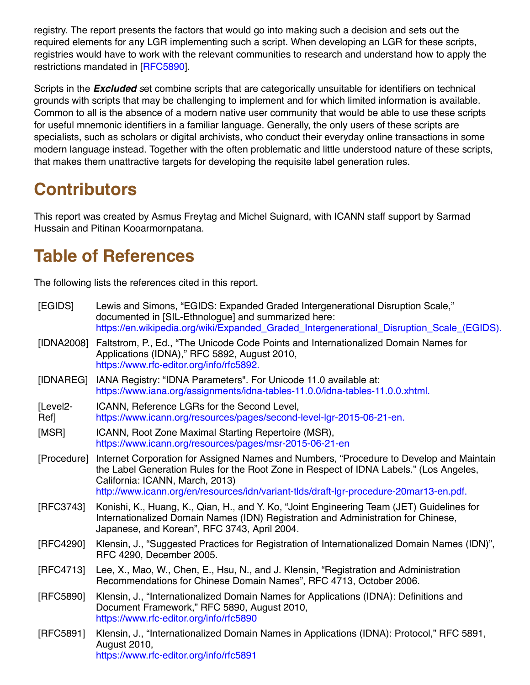registry. The report presents the factors that would go into making such a decision and sets out the required elements for any LGR implementing such a script. When developing an LGR for these scripts, registries would have to work with the relevant communities to research and understand how to apply the restrictions mandated in [\[RFC5890](#page-8-4)].

Scripts in the *Excluded s*et combine scripts that are categorically unsuitable for identifiers on technical grounds with scripts that may be challenging to implement and for which limited information is available. Common to all is the absence of a modern native user community that would be able to use these scripts for useful mnemonic identifiers in a familiar language. Generally, the only users of these scripts are specialists, such as scholars or digital archivists, who conduct their everyday online transactions in some modern language instead. Together with the often problematic and little understood nature of these scripts, that makes them unattractive targets for developing the requisite label generation rules.

# **Contributors**

This report was created by Asmus Freytag and Michel Suignard, with ICANN staff support by Sarmad Hussain and Pitinan Kooarmornpatana.

# **Table of References**

The following lists the references cited in this report.

<span id="page-8-10"></span><span id="page-8-9"></span><span id="page-8-8"></span><span id="page-8-7"></span><span id="page-8-6"></span><span id="page-8-5"></span><span id="page-8-4"></span><span id="page-8-3"></span><span id="page-8-2"></span><span id="page-8-1"></span><span id="page-8-0"></span>

| [EGIDS]         | Lewis and Simons, "EGIDS: Expanded Graded Intergenerational Disruption Scale,"<br>documented in [SIL-Ethnologue] and summarized here:<br>https://en.wikipedia.org/wiki/Expanded_Graded_Intergenerational_Disruption_Scale_(EGIDS).                                                                             |
|-----------------|----------------------------------------------------------------------------------------------------------------------------------------------------------------------------------------------------------------------------------------------------------------------------------------------------------------|
| [IDNA2008]      | Faltstrom, P., Ed., "The Unicode Code Points and Internationalized Domain Names for<br>Applications (IDNA)," RFC 5892, August 2010,<br>https://www.rfc-editor.org/info/rfc5892.                                                                                                                                |
| [IDNAREG]       | IANA Registry: "IDNA Parameters". For Unicode 11.0 available at:<br>https://www.iana.org/assignments/idna-tables-11.0.0/idna-tables-11.0.0.xhtml.                                                                                                                                                              |
| [Level2-<br>Ref | ICANN, Reference LGRs for the Second Level,<br>https://www.icann.org/resources/pages/second-level-lgr-2015-06-21-en.                                                                                                                                                                                           |
| [MSR]           | ICANN, Root Zone Maximal Starting Repertoire (MSR),<br>https://www.icann.org/resources/pages/msr-2015-06-21-en                                                                                                                                                                                                 |
| [Procedure]     | Internet Corporation for Assigned Names and Numbers, "Procedure to Develop and Maintain<br>the Label Generation Rules for the Root Zone in Respect of IDNA Labels." (Los Angeles,<br>California: ICANN, March, 2013)<br>http://www.icann.org/en/resources/idn/variant-tlds/draft-Igr-procedure-20mar13-en.pdf. |
| [RFC3743]       | Konishi, K., Huang, K., Qian, H., and Y. Ko, "Joint Engineering Team (JET) Guidelines for<br>Internationalized Domain Names (IDN) Registration and Administration for Chinese,<br>Japanese, and Korean", RFC 3743, April 2004.                                                                                 |
| [RFC4290]       | Klensin, J., "Suggested Practices for Registration of Internationalized Domain Names (IDN)",<br>RFC 4290, December 2005.                                                                                                                                                                                       |
| [RFC4713]       | Lee, X., Mao, W., Chen, E., Hsu, N., and J. Klensin, "Registration and Administration<br>Recommendations for Chinese Domain Names", RFC 4713, October 2006.                                                                                                                                                    |
| [RFC5890]       | Klensin, J., "Internationalized Domain Names for Applications (IDNA): Definitions and<br>Document Framework," RFC 5890, August 2010,<br>https://www.rfc-editor.org/info/rfc5890                                                                                                                                |
| [RFC5891]       | Klensin, J., "Internationalized Domain Names in Applications (IDNA): Protocol," RFC 5891,<br>August 2010,<br>https://www.rfc-editor.org/info/rfc5891                                                                                                                                                           |
|                 |                                                                                                                                                                                                                                                                                                                |